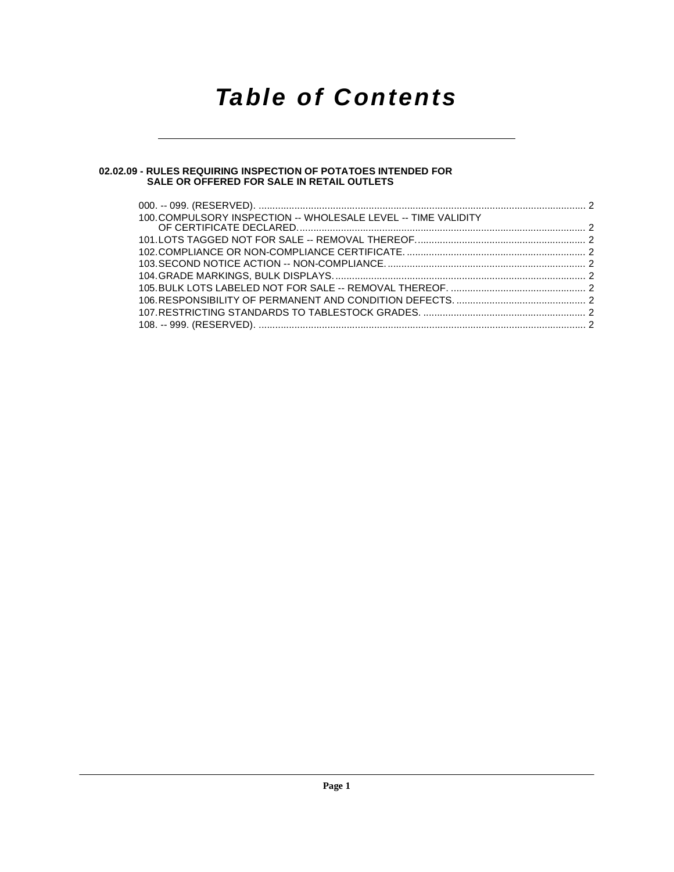## **Table of Contents**

#### **[02.02.09 - RULES REQUIRING INSPECTION OF POTATOES INTENDED FOR](#page-1-0) SALE OR OFFERED FOR SALE IN RETAIL OUTLETS**

| 100. COMPULSORY INSPECTION -- WHOLESALE LEVEL -- TIME VALIDITY |  |
|----------------------------------------------------------------|--|
|                                                                |  |
|                                                                |  |
|                                                                |  |
|                                                                |  |
|                                                                |  |
|                                                                |  |
|                                                                |  |
|                                                                |  |
|                                                                |  |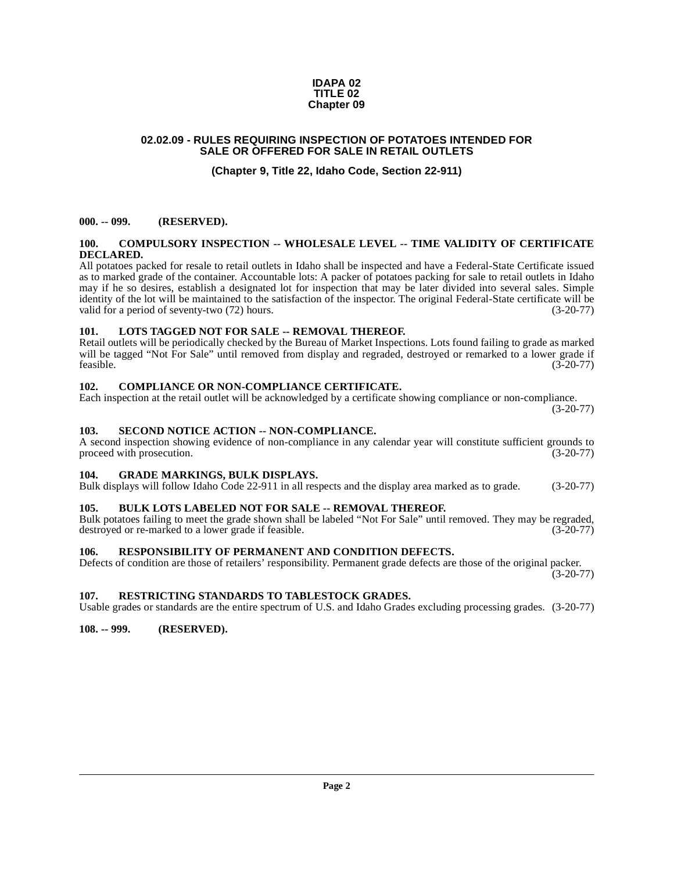#### **IDAPA 02 TITLE 02 Chapter 09**

#### <span id="page-1-0"></span>**02.02.09 - RULES REQUIRING INSPECTION OF POTATOES INTENDED FOR SALE OR OFFERED FOR SALE IN RETAIL OUTLETS**

### **(Chapter 9, Title 22, Idaho Code, Section 22-911)**

#### <span id="page-1-1"></span>**000. -- 099. (RESERVED).**

#### <span id="page-1-13"></span><span id="page-1-2"></span>**100. COMPULSORY INSPECTION -- WHOLESALE LEVEL -- TIME VALIDITY OF CERTIFICATE DECLARED.**

All potatoes packed for resale to retail outlets in Idaho shall be inspected and have a Federal-State Certificate issued as to marked grade of the container. Accountable lots: A packer of potatoes packing for sale to retail outlets in Idaho may if he so desires, establish a designated lot for inspection that may be later divided into several sales. Simple identity of the lot will be maintained to the satisfaction of the inspector. The original Federal-State certificate will be valid for a period of seventy-two (72) hours. (3-20-77)

#### <span id="page-1-15"></span><span id="page-1-3"></span>**101. LOTS TAGGED NOT FOR SALE -- REMOVAL THEREOF.**

Retail outlets will be periodically checked by the Bureau of Market Inspections. Lots found failing to grade as marked will be tagged "Not For Sale" until removed from display and regraded, destroyed or remarked to a lower grade if feasible. (3-20-77)  $f$ easible. (3-20-77)

#### <span id="page-1-12"></span><span id="page-1-4"></span>**102. COMPLIANCE OR NON-COMPLIANCE CERTIFICATE.**

Each inspection at the retail outlet will be acknowledged by a certificate showing compliance or non-compliance.

(3-20-77)

#### <span id="page-1-18"></span><span id="page-1-5"></span>**103. SECOND NOTICE ACTION -- NON-COMPLIANCE.**

A second inspection showing evidence of non-compliance in any calendar year will constitute sufficient grounds to proceed with prosecution. (3-20-77) proceed with prosecution.

#### <span id="page-1-14"></span><span id="page-1-6"></span>**104. GRADE MARKINGS, BULK DISPLAYS.**

Bulk displays will follow Idaho Code 22-911 in all respects and the display area marked as to grade. (3-20-77)

#### <span id="page-1-11"></span><span id="page-1-7"></span>**105. BULK LOTS LABELED NOT FOR SALE -- REMOVAL THEREOF.**

Bulk potatoes failing to meet the grade shown shall be labeled "Not For Sale" until removed. They may be regraded, destroyed or re-marked to a lower grade if feasible. (3-20-77) destroyed or re-marked to a lower grade if feasible.

#### <span id="page-1-16"></span><span id="page-1-8"></span>**106. RESPONSIBILITY OF PERMANENT AND CONDITION DEFECTS.**

Defects of condition are those of retailers' responsibility. Permanent grade defects are those of the original packer. (3-20-77)

#### <span id="page-1-17"></span><span id="page-1-9"></span>**107. RESTRICTING STANDARDS TO TABLESTOCK GRADES.**

Usable grades or standards are the entire spectrum of U.S. and Idaho Grades excluding processing grades. (3-20-77)

#### <span id="page-1-10"></span>**108. -- 999. (RESERVED).**